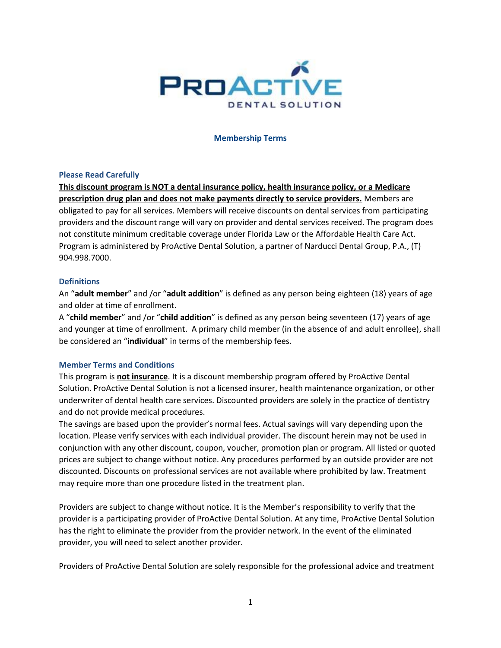

#### **Membership Terms**

#### **Please Read Carefully**

**This discount program is NOT a dental insurance policy, health insurance policy, or a Medicare prescription drug plan and does not make payments directly to service providers.** Members are obligated to pay for all services. Members will receive discounts on dental services from participating providers and the discount range will vary on provider and dental services received. The program does not constitute minimum creditable coverage under Florida Law or the Affordable Health Care Act. Program is administered by ProActive Dental Solution, a partner of Narducci Dental Group, P.A., (T) 904.998.7000.

### **Definitions**

An "**adult member**" and /or "**adult addition**" is defined as any person being eighteen (18) years of age and older at time of enrollment.

A "**child member**" and /or "**child addition**" is defined as any person being seventeen (17) years of age and younger at time of enrollment. A primary child member (in the absence of and adult enrollee), shall be considered an "i**ndividual**" in terms of the membership fees.

# **Member Terms and Conditions**

This program is **not insurance**. It is a discount membership program offered by ProActive Dental Solution. ProActive Dental Solution is not a licensed insurer, health maintenance organization, or other underwriter of dental health care services. Discounted providers are solely in the practice of dentistry and do not provide medical procedures.

The savings are based upon the provider's normal fees. Actual savings will vary depending upon the location. Please verify services with each individual provider. The discount herein may not be used in conjunction with any other discount, coupon, voucher, promotion plan or program. All listed or quoted prices are subject to change without notice. Any procedures performed by an outside provider are not discounted. Discounts on professional services are not available where prohibited by law. Treatment may require more than one procedure listed in the treatment plan.

Providers are subject to change without notice. It is the Member's responsibility to verify that the provider is a participating provider of ProActive Dental Solution. At any time, ProActive Dental Solution has the right to eliminate the provider from the provider network. In the event of the eliminated provider, you will need to select another provider.

Providers of ProActive Dental Solution are solely responsible for the professional advice and treatment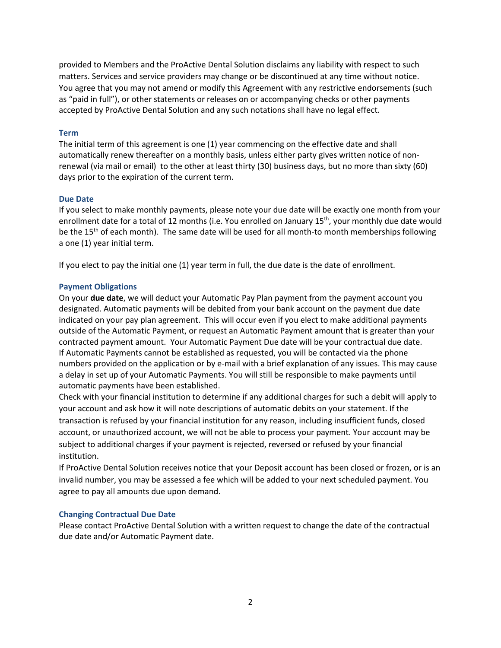provided to Members and the ProActive Dental Solution disclaims any liability with respect to such matters. Services and service providers may change or be discontinued at any time without notice. You agree that you may not amend or modify this Agreement with any restrictive endorsements (such as "paid in full"), or other statements or releases on or accompanying checks or other payments accepted by ProActive Dental Solution and any such notations shall have no legal effect.

#### **Term**

The initial term of this agreement is one (1) year commencing on the effective date and shall automatically renew thereafter on a monthly basis, unless either party gives written notice of nonrenewal (via mail or email) to the other at least thirty (30) business days, but no more than sixty (60) days prior to the expiration of the current term.

#### **Due Date**

If you select to make monthly payments, please note your due date will be exactly one month from your enrollment date for a total of 12 months (i.e. You enrolled on January  $15<sup>th</sup>$ , your monthly due date would be the 15<sup>th</sup> of each month). The same date will be used for all month-to month memberships following a one (1) year initial term.

If you elect to pay the initial one (1) year term in full, the due date is the date of enrollment.

### **Payment Obligations**

On your **due date**, we will deduct your Automatic Pay Plan payment from the payment account you designated. Automatic payments will be debited from your bank account on the payment due date indicated on your pay plan agreement. This will occur even if you elect to make additional payments outside of the Automatic Payment, or request an Automatic Payment amount that is greater than your contracted payment amount. Your Automatic Payment Due date will be your contractual due date. If Automatic Payments cannot be established as requested, you will be contacted via the phone numbers provided on the application or by e-mail with a brief explanation of any issues. This may cause a delay in set up of your Automatic Payments. You will still be responsible to make payments until automatic payments have been established.

Check with your financial institution to determine if any additional charges for such a debit will apply to your account and ask how it will note descriptions of automatic debits on your statement. If the transaction is refused by your financial institution for any reason, including insufficient funds, closed account, or unauthorized account, we will not be able to process your payment. Your account may be subject to additional charges if your payment is rejected, reversed or refused by your financial institution.

If ProActive Dental Solution receives notice that your Deposit account has been closed or frozen, or is an invalid number, you may be assessed a fee which will be added to your next scheduled payment. You agree to pay all amounts due upon demand.

# **Changing Contractual Due Date**

Please contact ProActive Dental Solution with a written request to change the date of the contractual due date and/or Automatic Payment date.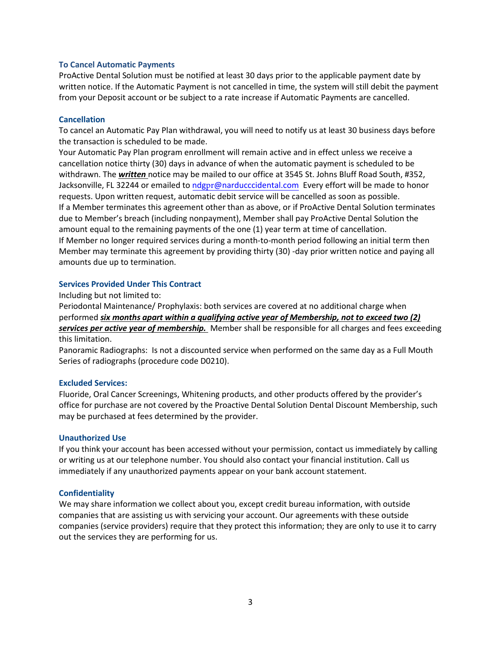### **To Cancel Automatic Payments**

ProActive Dental Solution must be notified at least 30 days prior to the applicable payment date by written notice. If the Automatic Payment is not cancelled in time, the system will still debit the payment from your Deposit account or be subject to a rate increase if Automatic Payments are cancelled.

#### **Cancellation**

To cancel an Automatic Pay Plan withdrawal, you will need to notify us at least 30 business days before the transaction is scheduled to be made.

Your Automatic Pay Plan program enrollment will remain active and in effect unless we receive a cancellation notice thirty (30) days in advance of when the automatic payment is scheduled to be withdrawn. The *written* notice may be mailed to our office at 3545 St. Johns Bluff Road South, #352, Jacksonville, FL 32244 or emailed to ndgpr[@narducccidental.com](mailto:ndg@narducccidental.com) Every effort will be made to honor requests. Upon written request, automatic debit service will be cancelled as soon as possible. If a Member terminates this agreement other than as above, or if ProActive Dental Solution terminates due to Member's breach (including nonpayment), Member shall pay ProActive Dental Solution the amount equal to the remaining payments of the one (1) year term at time of cancellation. If Member no longer required services during a month-to-month period following an initial term then Member may terminate this agreement by providing thirty (30) -day prior written notice and paying all amounts due up to termination.

### **Services Provided Under This Contract**

Including but not limited to:

Periodontal Maintenance/ Prophylaxis: both services are covered at no additional charge when performed *six months apart within a qualifying active year of Membership, not to exceed two (2) services per active year of membership.* Member shall be responsible for all charges and fees exceeding this limitation.

Panoramic Radiographs: Is not a discounted service when performed on the same day as a Full Mouth Series of radiographs (procedure code D0210).

# **Excluded Services:**

Fluoride, Oral Cancer Screenings, Whitening products, and other products offered by the provider's office for purchase are not covered by the Proactive Dental Solution Dental Discount Membership, such may be purchased at fees determined by the provider.

### **Unauthorized Use**

If you think your account has been accessed without your permission, contact us immediately by calling or writing us at our telephone number. You should also contact your financial institution. Call us immediately if any unauthorized payments appear on your bank account statement.

# **Confidentiality**

We may share information we collect about you, except credit bureau information, with outside companies that are assisting us with servicing your account. Our agreements with these outside companies (service providers) require that they protect this information; they are only to use it to carry out the services they are performing for us.